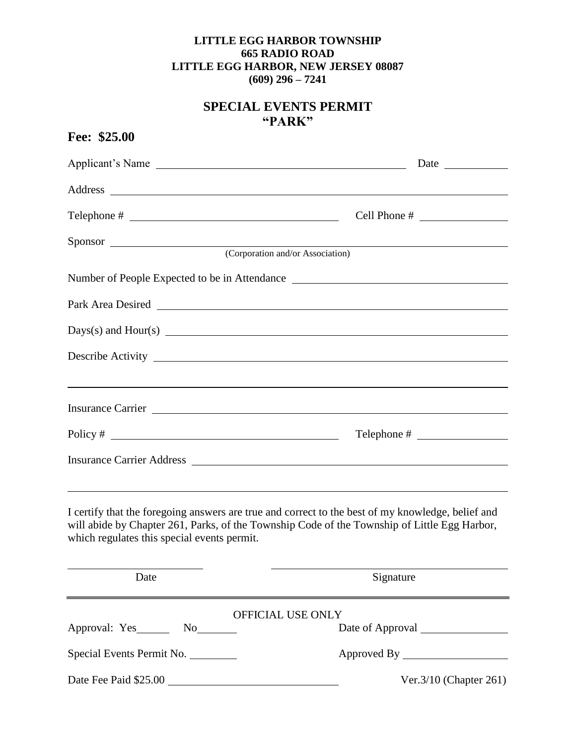## **LITTLE EGG HARBOR TOWNSHIP 665 RADIO ROAD LITTLE EGG HARBOR, NEW JERSEY 08087 (609) 296 – 7241**

## **SPECIAL EVENTS PERMIT "PARK"**

| Fee: \$25.00                                |                                                                                                                                                                                                   |
|---------------------------------------------|---------------------------------------------------------------------------------------------------------------------------------------------------------------------------------------------------|
| Applicant's Name                            |                                                                                                                                                                                                   |
|                                             |                                                                                                                                                                                                   |
|                                             |                                                                                                                                                                                                   |
|                                             |                                                                                                                                                                                                   |
| Sponsor (Corporation and/or Association)    |                                                                                                                                                                                                   |
|                                             | Number of People Expected to be in Attendance                                                                                                                                                     |
|                                             |                                                                                                                                                                                                   |
|                                             | $\text{Days}(s)$ and $\text{Hour}(s)$                                                                                                                                                             |
|                                             |                                                                                                                                                                                                   |
|                                             |                                                                                                                                                                                                   |
|                                             | Insurance Carrier                                                                                                                                                                                 |
|                                             |                                                                                                                                                                                                   |
|                                             |                                                                                                                                                                                                   |
|                                             | <u> 1999 - Jan Samuel Barbara, margaret eta idazlearen 1992an eta idazlearen 1992ko hamarkada eta idazlea zituen</u>                                                                              |
| which regulates this special events permit. | I certify that the foregoing answers are true and correct to the best of my knowledge, belief and<br>will abide by Chapter 261, Parks, of the Township Code of the Township of Little Egg Harbor, |
| Date                                        | Signature                                                                                                                                                                                         |
|                                             | OFFICIAL USE ONLY                                                                                                                                                                                 |
|                                             |                                                                                                                                                                                                   |
| Special Events Permit No.                   |                                                                                                                                                                                                   |
| Date Fee Paid \$25.00                       | Ver. $3/10$ (Chapter 261)                                                                                                                                                                         |